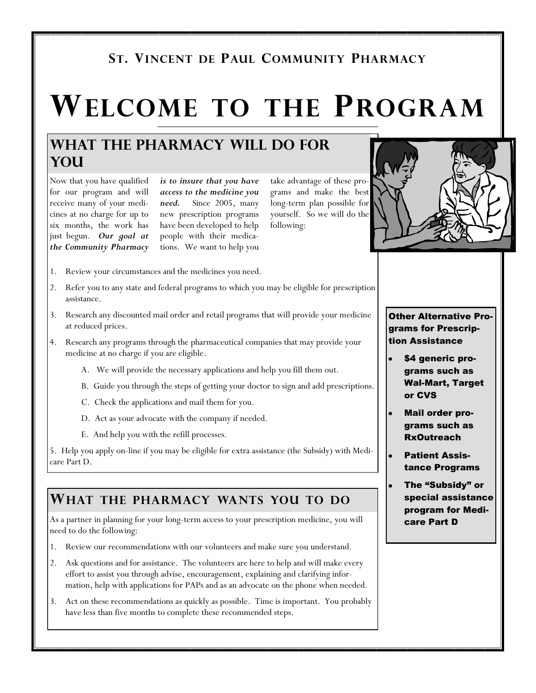# **ST. VINCENT DE PAUL COMMUNITY PHARMACY**

# **WELCOME TO THE PROGRAM**

#### **What the pharmacy will do for you**

Now that you have qualified for our program and will receive many of your medicines at no charge for up to six months, the work has just begun. *Our goal at the Community Pharmacy* 

*is to insure that you have access to the medicine you need.* Since 2005, many new prescription programs have been developed to help people with their medications. We want to help you

take advantage of these programs and make the best long-term plan possible for yourself. So we will do the following:



- 1. Review your circumstances and the medicines you need.
- 2. Refer you to any state and federal programs to which you may be eligible for prescription assistance.
- 3. Research any discounted mail order and retail programs that will provide your medicine at reduced prices.
- 4. Research any programs through the pharmaceutical companies that may provide your medicine at no charge if you are eligible.
	- A. We will provide the necessary applications and help you fill them out.
	- B. Guide you through the steps of getting your doctor to sign and add prescriptions.
	- C. Check the applications and mail them for you.
	- D. Act as your advocate with the company if needed.
	- E. And help you with the refill processes.

5. Help you apply on-line if you may be eligible for extra assistance (the Subsidy) with Medicare Part D.

#### **WHAT THE PHARMACY WANTS YOU TO DO**

As a partner in planning for your long-term access to your prescription medicine, you will need to do the following:

- 1. Review our recommendations with our volunteers and make sure you understand.
- 2. Ask questions and for assistance. The volunteers are here to help and will make every effort to assist you through advise, encouragement, explaining and clarifying information, help with applications for PAPs and as an advocate on the phone when needed.
- 3. Act on these recommendations as quickly as possible. Time is important. You probably have less than five months to complete these recommended steps.

Other Alternative Programs for Prescription Assistance

- \$4 generic programs such as Wal-Mart, Target or CVS
- Mail order programs such as **RxOutreach**
- Patient Assistance Programs
- The "Subsidy" or  $\bullet$ special assistance program for Medicare Part D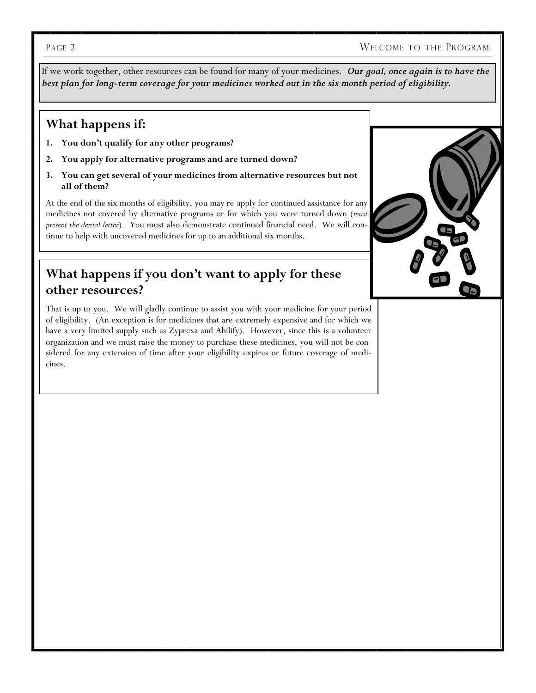If we work together, other resources can be found for many of your medicines. *Our goal, once again is to have the best plan for long-term coverage for your medicines worked out in the six month period of eligibility.*

#### **What happens if:**

- **1. You don't qualify for any other programs?**
- **2. You apply for alternative programs and are turned down?**
- **3. You can get several of your medicines from alternative resources but not all of them?**

At the end of the six months of eligibility, you may re-apply for continued assistance for any medicines not covered by alternative programs or for which you were turned down (*must present the denial letter*). You must also demonstrate continued financial need. We will continue to help with uncovered medicines for up to an additional six months.

#### **What happens if you don't want to apply for these other resources?**

That is up to you. We will gladly continue to assist you with your medicine for your period of eligibility. (An exception is for medicines that are extremely expensive and for which we have a very limited supply such as Zyprexa and Abilify). However, since this is a volunteer organization and we must raise the money to purchase these medicines, you will not be considered for any extension of time after your eligibility expires or future coverage of medicines.

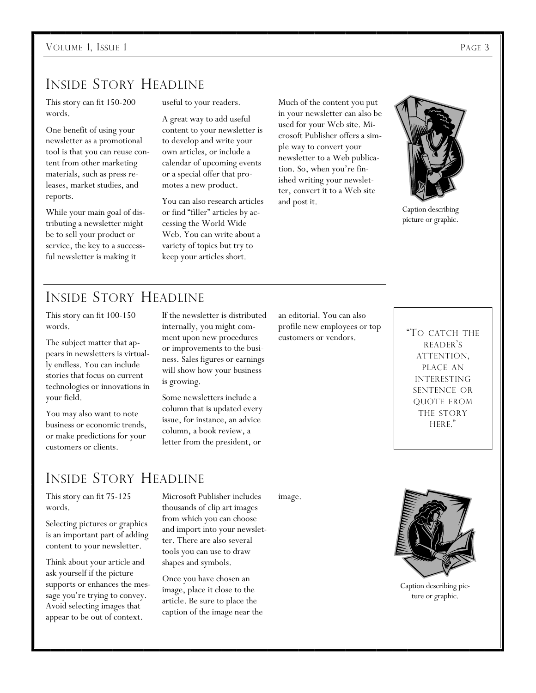# INSIDE STORY HEADLINE

This story can fit 150-200 words.

One benefit of using your newsletter as a promotional tool is that you can reuse content from other marketing materials, such as press releases, market studies, and reports.

While your main goal of distributing a newsletter might be to sell your product or service, the key to a successful newsletter is making it

useful to your readers.

A great way to add useful content to your newsletter is to develop and write your own articles, or include a calendar of upcoming events or a special offer that promotes a new product.

You can also research articles or find "filler" articles by accessing the World Wide Web. You can write about a variety of topics but try to keep your articles short.

Much of the content you put in your newsletter can also be used for your Web site. Microsoft Publisher offers a simple way to convert your newsletter to a Web publication. So, when you're finished writing your newsletter, convert it to a Web site and post it.



Caption describing picture or graphic.

### INSIDE STORY HEADLINE

This story can fit 100-150 words.

The subject matter that appears in newsletters is virtually endless. You can include stories that focus on current technologies or innovations in your field.

You may also want to note business or economic trends, or make predictions for your customers or clients.

If the newsletter is distributed internally, you might comment upon new procedures or improvements to the business. Sales figures or earnings will show how your business is growing.

Some newsletters include a column that is updated every issue, for instance, an advice column, a book review, a letter from the president, or

#### INSIDE STORY HEADLINE

This story can fit 75-125 words.

Selecting pictures or graphics is an important part of adding content to your newsletter.

Think about your article and ask yourself if the picture supports or enhances the message you're trying to convey. Avoid selecting images that appear to be out of context.

Microsoft Publisher includes thousands of clip art images from which you can choose and import into your newsletter. There are also several tools you can use to draw shapes and symbols.

Once you have chosen an image, place it close to the article. Be sure to place the caption of the image near the image.

an editorial. You can also profile new employees or top customers or vendors.

"TO CATCH THE READER'S ATTENTION, PLACE AN INTERESTING SENTENCE OR QUOTE FROM THE STORY HERE."



Caption describing picture or graphic.